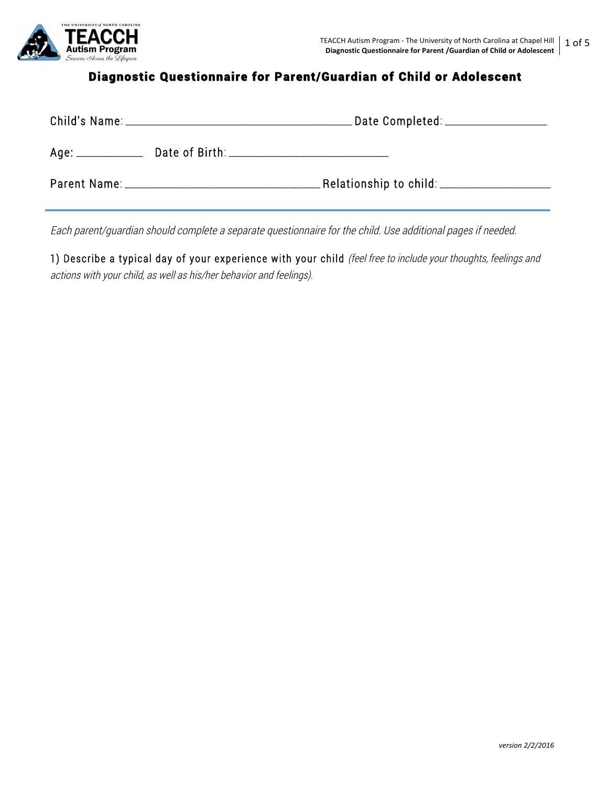

Ĩ

## Diagnostic Questionnaire for Parent/Guardian of Child or Adolescent

|                     | Date Completed: ____________________          |
|---------------------|-----------------------------------------------|
| Age: ______________ | Date of Birth: ______________________________ |
|                     | _Relationship to child: _________________     |

Each parent/guardian should complete a separate questionnaire for the child. Use additional pages if needed.

1) Describe a typical day of your experience with your child (feel free to include your thoughts, feelings and actions with your child, as well as his/her behavior and feelings).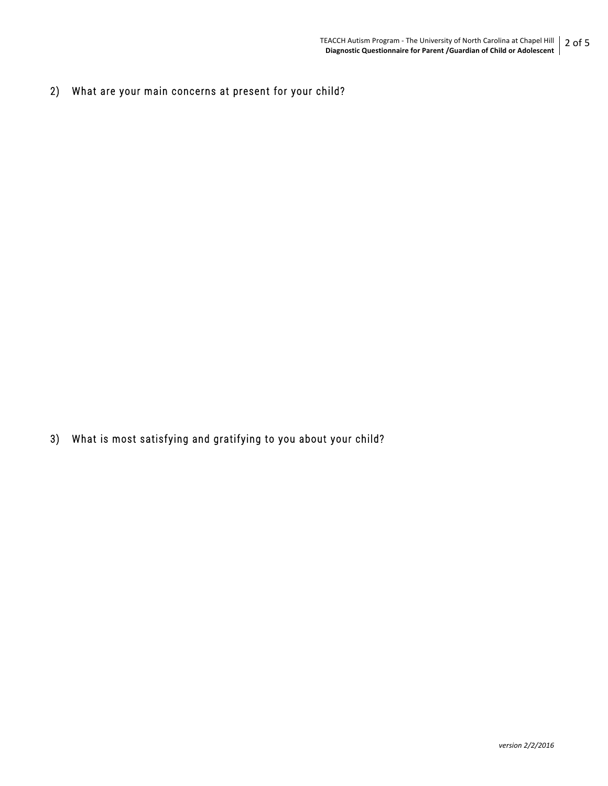2) What are your main concerns at present for your child?

3) What is most satisfying and gratifying to you about your child?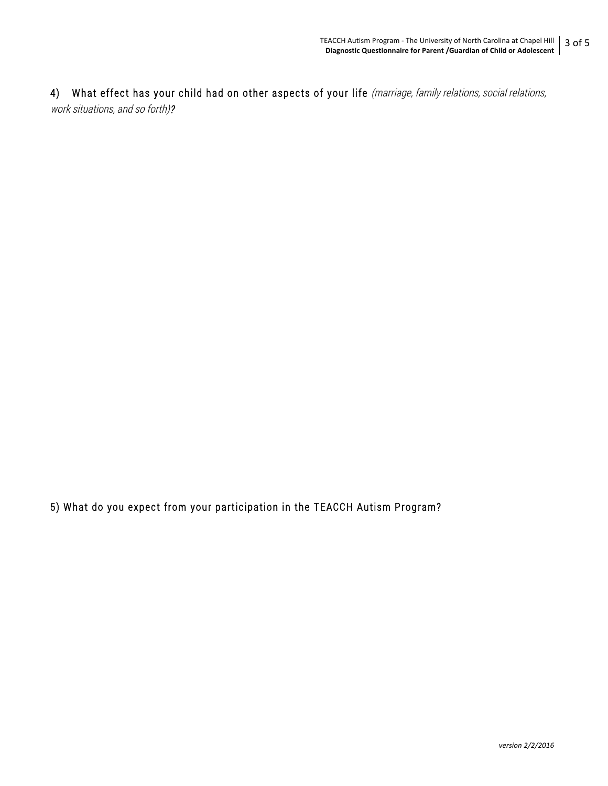4) What effect has your child had on other aspects of your life (marriage, family relations, social relations, work situations, and so forth)?

5) What do you expect from your participation in the TEACCH Autism Program?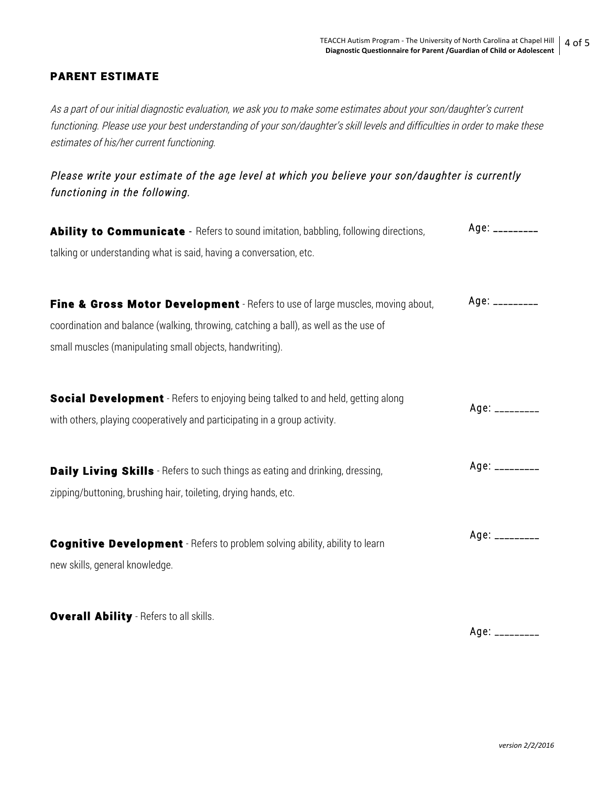## PARENT ESTIMATE

As a part of our initial diagnostic evaluation, we ask you to make some estimates about your son/daughter's current functioning. Please use your best understanding of your son/daughter's skill levels and difficulties in order to make these estimates of his/her current functioning.

Please write your estimate of the age level at which you believe your son/daughter is currently functioning in the following.

| Ability to Communicate - Refers to sound imitation, babbling, following directions,    | $Age:$ __________ |
|----------------------------------------------------------------------------------------|-------------------|
| talking or understanding what is said, having a conversation, etc.                     |                   |
|                                                                                        |                   |
| Fine & Gross Motor Development - Refers to use of large muscles, moving about,         | Age: _________    |
| coordination and balance (walking, throwing, catching a ball), as well as the use of   |                   |
| small muscles (manipulating small objects, handwriting).                               |                   |
| <b>Social Development</b> - Refers to enjoying being talked to and held, getting along |                   |
| with others, playing cooperatively and participating in a group activity.              | $Age:$ __________ |
| <b>Daily Living Skills</b> - Refers to such things as eating and drinking, dressing,   | $Age:$ __________ |
| zipping/buttoning, brushing hair, toileting, drying hands, etc.                        |                   |
| <b>Cognitive Development</b> - Refers to problem solving ability, ability to learn     | $Age:$ __________ |
| new skills, general knowledge.                                                         |                   |
| <b>Overall Ability</b> - Refers to all skills.                                         |                   |
|                                                                                        | Age: _________    |